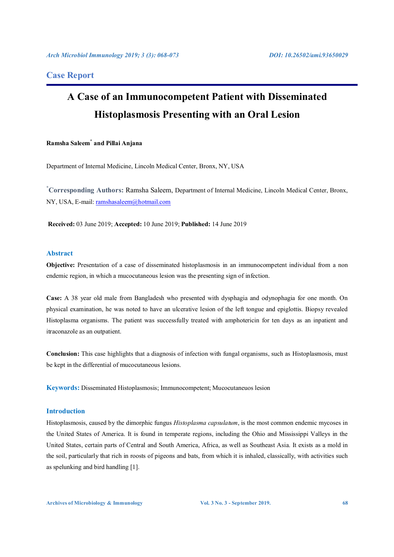## **Case Report**

# **A Case of an Immunocompetent Patient with Disseminated Histoplasmosis Presenting with an Oral Lesion**

### **Ramsha Saleem\* and Pillai Anjana**

Department of Internal Medicine, Lincoln Medical Center, Bronx, NY, USA

**\* Corresponding Authors:** Ramsha Saleem, Department of Internal Medicine, Lincoln Medical Center, Bronx, NY, USA, E-mail: ramshasaleem@hotmail.com

**Received:** 03 June 2019; **Accepted:** 10 June 2019; **Published:** 14 June 2019

#### **Abstract**

**Objective:** Presentation of a case of disseminated histoplasmosis in an immunocompetent individual from a non endemic region, in which a mucocutaneous lesion was the presenting sign of infection.

**Case:** A 38 year old male from Bangladesh who presented with dysphagia and odynophagia for one month. On physical examination, he was noted to have an ulcerative lesion of the left tongue and epiglottis. Biopsy revealed Histoplasma organisms. The patient was successfully treated with amphotericin for ten days as an inpatient and itraconazole as an outpatient.

**Conclusion:** This case highlights that a diagnosis of infection with fungal organisms, such as Histoplasmosis, must be kept in the differential of mucocutaneous lesions.

**Keywords:** Disseminated Histoplasmosis; Immunocompetent; Mucocutaneuos lesion

### **Introduction**

Histoplasmosis, caused by the dimorphic fungus *Histoplasma capsulatum*, is the most common endemic mycoses in the United States of America. It is found in temperate regions, including the Ohio and Mississippi Valleys in the United States, certain parts of Central and South America, Africa, as well as Southeast Asia. It exists as a mold in the soil, particularly that rich in roosts of pigeons and bats, from which it is inhaled, classically, with activities such as spelunking and bird handling [1].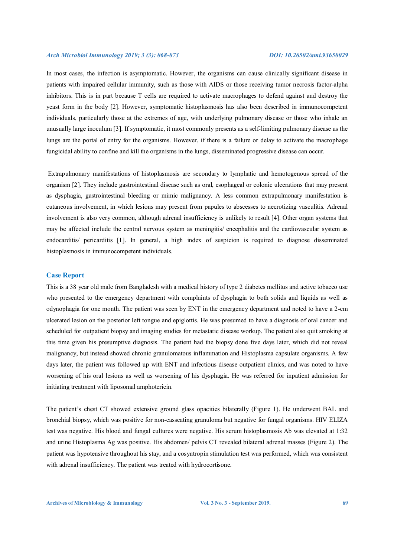In most cases, the infection is asymptomatic. However, the organisms can cause clinically significant disease in patients with impaired cellular immunity, such as those with AIDS or those receiving tumor necrosis factor-alpha inhibitors. This is in part because T cells are required to activate macrophages to defend against and destroy the yeast form in the body [2]. However, symptomatic histoplasmosis has also been described in immunocompetent individuals, particularly those at the extremes of age, with underlying pulmonary disease or those who inhale an unusually large inoculum [3]. If symptomatic, it most commonly presents as a self-limiting pulmonary disease as the lungs are the portal of entry for the organisms. However, if there is a failure or delay to activate the macrophage fungicidal ability to confine and kill the organisms in the lungs, disseminated progressive disease can occur.

 Extrapulmonary manifestations of histoplasmosis are secondary to lymphatic and hemotogenous spread of the organism [2]. They include gastrointestinal disease such as oral, esophageal or colonic ulcerations that may present as dysphagia, gastrointestinal bleeding or mimic malignancy. A less common extrapulmonary manifestation is cutaneous involvement, in which lesions may present from papules to abscesses to necrotizing vasculitis. Adrenal involvement is also very common, although adrenal insufficiency is unlikely to result [4]. Other organ systems that may be affected include the central nervous system as meningitis/ encephalitis and the cardiovascular system as endocarditis/ pericarditis [1]. In general, a high index of suspicion is required to diagnose disseminated histoplasmosis in immunocompetent individuals.

#### **Case Report**

This is a 38 year old male from Bangladesh with a medical history of type 2 diabetes mellitus and active tobacco use who presented to the emergency department with complaints of dysphagia to both solids and liquids as well as odynophagia for one month. The patient was seen by ENT in the emergency department and noted to have a 2-cm ulcerated lesion on the posterior left tongue and epiglottis. He was presumed to have a diagnosis of oral cancer and scheduled for outpatient biopsy and imaging studies for metastatic disease workup. The patient also quit smoking at this time given his presumptive diagnosis. The patient had the biopsy done five days later, which did not reveal malignancy, but instead showed chronic granulomatous inflammation and Histoplasma capsulate organisms. A few days later, the patient was followed up with ENT and infectious disease outpatient clinics, and was noted to have worsening of his oral lesions as well as worsening of his dysphagia. He was referred for inpatient admission for initiating treatment with liposomal amphotericin.

The patient's chest CT showed extensive ground glass opacities bilaterally (Figure 1). He underwent BAL and bronchial biopsy, which was positive for non-casseating granuloma but negative for fungal organisms. HIV ELIZA test was negative. His blood and fungal cultures were negative. His serum histoplasmosis Ab was elevated at 1:32 and urine Histoplasma Ag was positive. His abdomen/ pelvis CT revealed bilateral adrenal masses (Figure 2). The patient was hypotensive throughout his stay, and a cosyntropin stimulation test was performed, which was consistent with adrenal insufficiency. The patient was treated with hydrocortisone.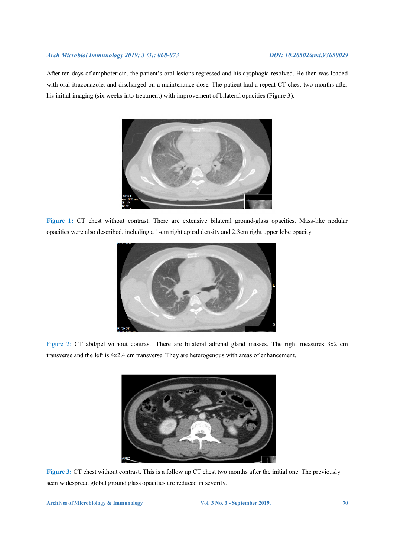After ten days of amphotericin, the patient's oral lesions regressed and his dysphagia resolved. He then was loaded with oral itraconazole, and discharged on a maintenance dose. The patient had a repeat CT chest two months after his initial imaging (six weeks into treatment) with improvement of bilateral opacities (Figure 3).



**Figure 1:** CT chest without contrast. There are extensive bilateral ground-glass opacities. Mass-like nodular opacities were also described, including a 1-cm right apical density and 2.3cm right upper lobe opacity.



Figure 2: CT abd/pel without contrast. There are bilateral adrenal gland masses. The right measures 3x2 cm transverse and the left is 4x2.4 cm transverse. They are heterogenous with areas of enhancement.



**Figure 3:** CT chest without contrast. This is a follow up CT chest two months after the initial one. The previously seen widespread global ground glass opacities are reduced in severity.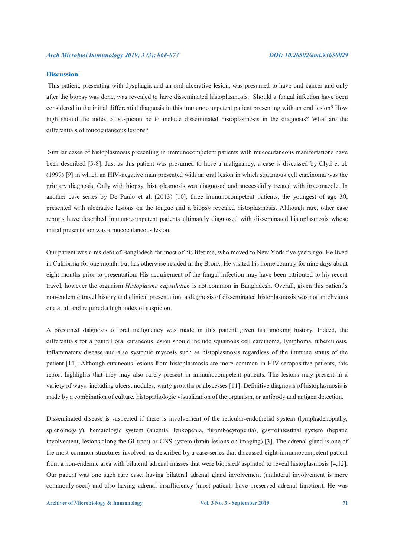#### **Discussion**

This patient, presenting with dysphagia and an oral ulcerative lesion, was presumed to have oral cancer and only after the biopsy was done, was revealed to have disseminated histoplasmosis. Should a fungal infection have been considered in the initial differential diagnosis in this immunocompetent patient presenting with an oral lesion? How high should the index of suspicion be to include disseminated histoplasmosis in the diagnosis? What are the differentials of mucocutaneous lesions?

 Similar cases of histoplasmosis presenting in immunocompetent patients with mucocutaneous manifestations have been described [5-8]. Just as this patient was presumed to have a malignancy, a case is discussed by Clyti et al. (1999) [9] in which an HIV-negative man presented with an oral lesion in which squamous cell carcinoma was the primary diagnosis. Only with biopsy, histoplasmosis was diagnosed and successfully treated with itraconazole. In another case series by De Paulo et al. (2013) [10], three immunocompetent patients, the youngest of age 30, presented with ulcerative lesions on the tongue and a biopsy revealed histoplasmosis. Although rare, other case reports have described immunocompetent patients ultimately diagnosed with disseminated histoplasmosis whose initial presentation was a mucocutaneous lesion.

Our patient was a resident of Bangladesh for most of his lifetime, who moved to New York five years ago. He lived in California for one month, but has otherwise resided in the Bronx. He visited his home country for nine days about eight months prior to presentation. His acquirement of the fungal infection may have been attributed to his recent travel, however the organism *Histoplasma capsulatum* is not common in Bangladesh. Overall, given this patient's non-endemic travel history and clinical presentation, a diagnosis of disseminated histoplasmosis was not an obvious one at all and required a high index of suspicion.

A presumed diagnosis of oral malignancy was made in this patient given his smoking history. Indeed, the differentials for a painful oral cutaneous lesion should include squamous cell carcinoma, lymphoma, tuberculosis, inflammatory disease and also systemic mycosis such as histoplasmosis regardless of the immune status of the patient [11]. Although cutaneous lesions from histoplasmosis are more common in HIV-seropositive patients, this report highlights that they may also rarely present in immunocompetent patients. The lesions may present in a variety of ways, including ulcers, nodules, warty growths or abscesses [11]. Definitive diagnosis of histoplasmosis is made by a combination of culture, histopathologic visualization of the organism, or antibody and antigen detection.

Disseminated disease is suspected if there is involvement of the reticular-endothelial system (lymphadenopathy, splenomegaly), hematologic system (anemia, leukopenia, thrombocytopenia), gastrointestinal system (hepatic involvement, lesions along the GI tract) or CNS system (brain lesions on imaging) [3]. The adrenal gland is one of the most common structures involved, as described by a case series that discussed eight immunocompetent patient from a non-endemic area with bilateral adrenal masses that were biopsied/ aspirated to reveal histoplasmosis [4,12]. Our patient was one such rare case, having bilateral adrenal gland involvement (unilateral involvement is more commonly seen) and also having adrenal insufficiency (most patients have preserved adrenal function). He was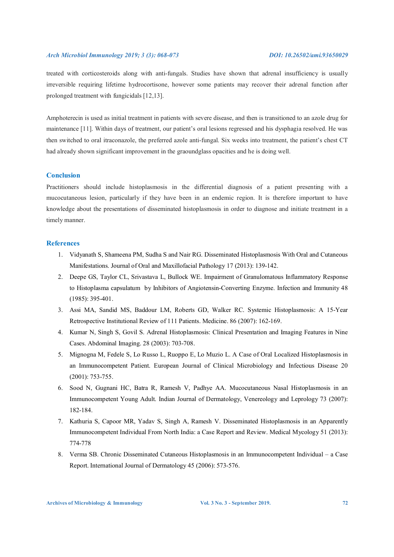treated with corticosteroids along with anti-fungals. Studies have shown that adrenal insufficiency is usually irreversible requiring lifetime hydrocortisone, however some patients may recover their adrenal function after prolonged treatment with fungicidals [12,13].

Amphoterecin is used as initial treatment in patients with severe disease, and then is transitioned to an azole drug for maintenance [11]. Within days of treatment, our patient's oral lesions regressed and his dysphagia resolved. He was then switched to oral itraconazole, the preferred azole anti-fungal. Six weeks into treatment, the patient's chest CT had already shown significant improvement in the graoundglass opacities and he is doing well.

### **Conclusion**

Practitioners should include histoplasmosis in the differential diagnosis of a patient presenting with a mucocutaneous lesion, particularly if they have been in an endemic region. It is therefore important to have knowledge about the presentations of disseminated histoplasmosis in order to diagnose and initiate treatment in a timely manner.

### **References**

- 1. Vidyanath S, Shameena PM, Sudha S and Nair RG. Disseminated Histoplasmosis With Oral and Cutaneous Manifestations. Journal of Oral and Maxillofacial Pathology 17 (2013): 139-142.
- 2. Deepe GS, Taylor CL, Srivastava L, Bullock WE. Impairment of Granulomatous Inflammatory Response to Histoplasma capsulatum by Inhibitors of Angiotensin-Converting Enzyme. Infection and Immunity 48 (1985): 395-401.
- 3. Assi MA, Sandid MS, Baddour LM, Roberts GD, Walker RC. Systemic Histoplasmosis: A 15-Year Retrospective Institutional Review of 111 Patients. Medicine. 86 (2007): 162-169.
- 4. Kumar N, Singh S, Govil S. Adrenal Histoplasmosis: Clinical Presentation and Imaging Features in Nine Cases. Abdominal Imaging. 28 (2003): 703-708.
- 5. Mignogna M, Fedele S, Lo Russo L, Ruoppo E, Lo Muzio L. A Case of Oral Localized Histoplasmosis in an Immunocompetent Patient. European Journal of Clinical Microbiology and Infectious Disease 20 (2001): 753-755.
- 6. Sood N, Gugnani HC, Batra R, Ramesh V, Padhye AA. Mucocutaneous Nasal Histoplasmosis in an Immunocompetent Young Adult. Indian Journal of Dermatology, Venereology and Leprology 73 (2007): 182-184.
- 7. Kathuria S, Capoor MR, Yadav S, Singh A, Ramesh V. Disseminated Histoplasmosis in an Apparently Immunocompetent Individual From North India: a Case Report and Review. Medical Mycology 51 (2013): 774-778
- 8. Verma SB. Chronic Disseminated Cutaneous Histoplasmosis in an Immunocompetent Individual a Case Report. International Journal of Dermatology 45 (2006): 573-576.